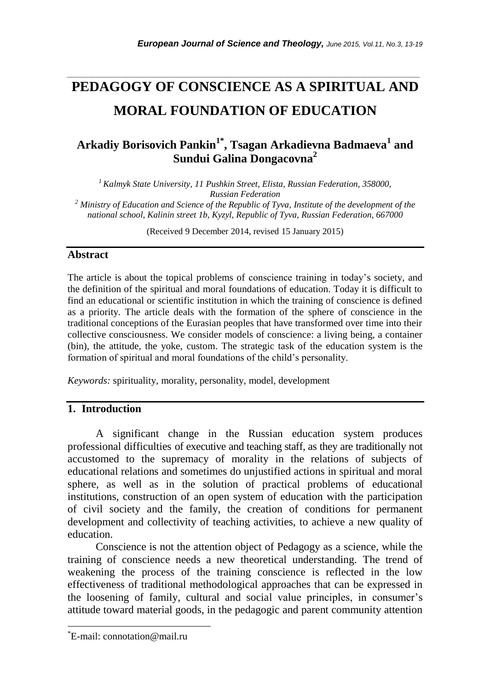# **PEDAGOGY OF CONSCIENCE AS A SPIRITUAL AND MORAL FOUNDATION OF EDUCATION**

*\_\_\_\_\_\_\_\_\_\_\_\_\_\_\_\_\_\_\_\_\_\_\_\_\_\_\_\_\_\_\_\_\_\_\_\_\_\_\_\_\_\_\_\_\_\_\_\_\_\_\_\_\_\_\_\_\_\_\_\_\_\_\_\_\_\_\_\_\_\_\_*

## **Arkadiy Borisovich Pankin1\* , Tsagan Arkadievna Badmaeva<sup>1</sup> and Sundui Galina Dongacovna<sup>2</sup>**

*<sup>1</sup>Kalmyk State University, 11 Pushkin Street, Elista, Russian Federation, 358000, Russian Federation <sup>2</sup> Ministry of Education and Science of the Republic of Tyva, Institute of the development of the national school, Kalinin street 1b, Kyzyl, Republic of Tyva, Russian Federation, 667000*

(Received 9 December 2014, revised 15 January 2015)

#### **Abstract**

The article is about the topical problems of conscience training in today"s society, and the definition of the spiritual and moral foundations of education. Today it is difficult to find an educational or scientific institution in which the training of conscience is defined as a priority. The article deals with the formation of the sphere of conscience in the traditional conceptions of the Eurasian peoples that have transformed over time into their collective consciousness. We consider models of conscience: a living being, a container (bin), the attitude, the yoke, custom. The strategic task of the education system is the formation of spiritual and moral foundations of the child"s personality.

*Keywords:* spirituality, morality, personality, model, development

#### **1. Introduction**

A significant change in the Russian education system produces professional difficulties of executive and teaching staff, as they are traditionally not accustomed to the supremacy of morality in the relations of subjects of educational relations and sometimes do unjustified actions in spiritual and moral sphere, as well as in the solution of practical problems of educational institutions, construction of an open system of education with the participation of civil society and the family, the creation of conditions for permanent development and collectivity of teaching activities, to achieve a new quality of education.

Conscience is not the attention object of Pedagogy as a science, while the training of conscience needs a new theoretical understanding. The trend of weakening the process of the training conscience is reflected in the low effectiveness of traditional methodological approaches that can be expressed in the loosening of family, cultural and social value principles, in consumer"s attitude toward material goods, in the pedagogic and parent community attention

l

<sup>\*</sup>E-mail: [connotation@mail.ru](mailto:connotation@mail.ru)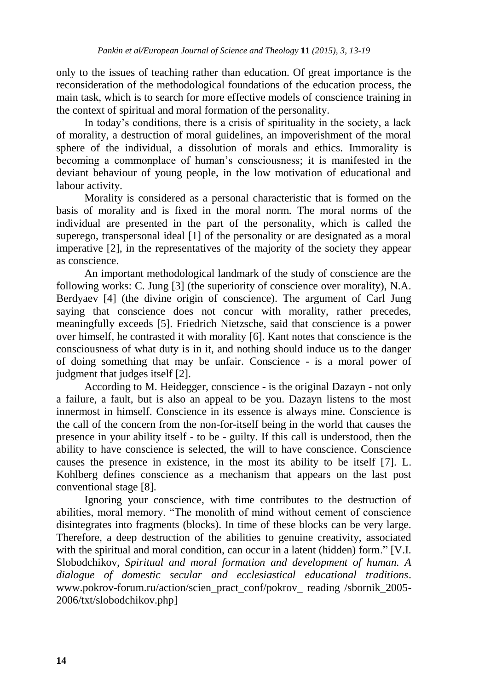only to the issues of teaching rather than education. Of great importance is the reconsideration of the methodological foundations of the education process, the main task, which is to search for more effective models of conscience training in the context of spiritual and moral formation of the personality.

In today"s conditions, there is a crisis of spirituality in the society, a lack of morality, a destruction of moral guidelines, an impoverishment of the moral sphere of the individual, a dissolution of morals and ethics. Immorality is becoming a commonplace of human"s consciousness; it is manifested in the deviant behaviour of young people, in the low motivation of educational and labour activity.

Morality is considered as a personal characteristic that is formed on the basis of morality and is fixed in the moral norm. The moral norms of the individual are presented in the part of the personality, which is called the superego, transpersonal ideal [1] of the personality or are designated as a moral imperative [2], in the representatives of the majority of the society they appear as conscience.

An important methodological landmark of the study of conscience are the following works: C. Jung [3] (the superiority of conscience over morality), N.A. Berdyaev [4] (the divine origin of conscience). The argument of Carl Jung saying that conscience does not concur with morality, rather precedes, meaningfully exceeds [5]. Friedrich Nietzsche, said that conscience is a power over himself, he contrasted it with morality [6]. Kant notes that conscience is the consciousness of what duty is in it, and nothing should induce us to the danger of doing something that may be unfair. Conscience - is a moral power of judgment that judges itself [2].

According to M. Heidegger, conscience - is the original Dazayn - not only a failure, a fault, but is also an appeal to be you. Dazayn listens to the most innermost in himself. Conscience in its essence is always mine. Conscience is the call of the concern from the non-for-itself being in the world that causes the presence in your ability itself - to be - guilty. If this call is understood, then the ability to have conscience is selected, the will to have conscience. Conscience causes the presence in existence, in the most its ability to be itself [7]. L. Kohlberg defines conscience as a mechanism that appears on the last post conventional stage [8].

Ignoring your conscience, with time contributes to the destruction of abilities, moral memory. "The monolith of mind without cement of conscience disintegrates into fragments (blocks). In time of these blocks can be very large. Therefore, a deep destruction of the abilities to genuine creativity, associated with the spiritual and moral condition, can occur in a latent (hidden) form." [V.I. Slobodchikov, *Spiritual and moral formation and development of human. A dialogue of domestic secular and ecclesiastical educational traditions*. www.pokrov-forum.ru/action/scien\_pract\_conf/pokrov\_ reading /sbornik\_2005- 2006/txt/slobodchikov.php]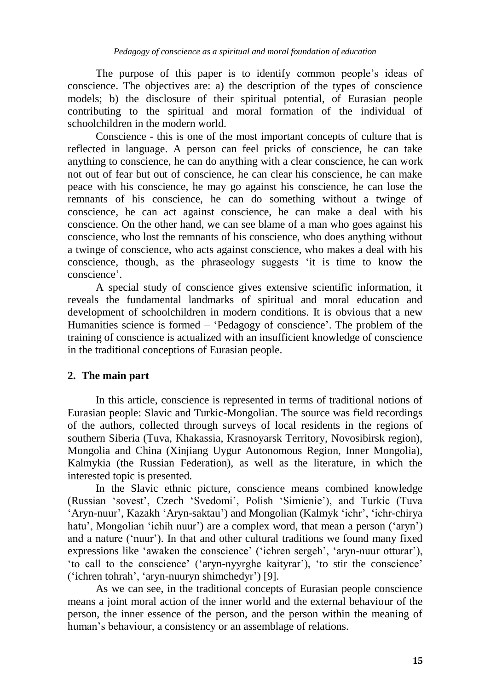The purpose of this paper is to identify common people"s ideas of conscience. The objectives are: a) the description of the types of conscience models; b) the disclosure of their spiritual potential, of Eurasian people contributing to the spiritual and moral formation of the individual of schoolchildren in the modern world.

Conscience - this is one of the most important concepts of culture that is reflected in language. A person can feel pricks of conscience, he can take anything to conscience, he can do anything with a clear conscience, he can work not out of fear but out of conscience, he can clear his conscience, he can make peace with his conscience, he may go against his conscience, he can lose the remnants of his conscience, he can do something without a twinge of conscience, he can act against conscience, he can make a deal with his conscience. On the other hand, we can see blame of a man who goes against his conscience, who lost the remnants of his conscience, who does anything without a twinge of conscience, who acts against conscience, who makes a deal with his conscience, though, as the phraseology suggests "it is time to know the conscience'.

A special study of conscience gives extensive scientific information, it reveals the fundamental landmarks of spiritual and moral education and development of schoolchildren in modern conditions. It is obvious that a new Humanities science is formed – "Pedagogy of conscience". The problem of the training of conscience is actualized with an insufficient knowledge of conscience in the traditional conceptions of Eurasian people.

### **2. The main part**

In this article, conscience is represented in terms of traditional notions of Eurasian people: Slavic and Turkic-Mongolian. The source was field recordings of the authors, collected through surveys of local residents in the regions of southern Siberia (Tuva, Khakassia, Krasnoyarsk Territory, Novosibirsk region), Mongolia and China (Xinjiang Uygur Autonomous Region, Inner Mongolia), Kalmykia (the Russian Federation), as well as the literature, in which the interested topic is presented.

In the Slavic ethnic picture, conscience means combined knowledge (Russian "sovest", Czech "Svedomi", Polish "Simienie"), and Turkic (Tuva 'Aryn-nuur', Kazakh 'Aryn-saktau') and Mongolian (Kalmyk 'ichr', 'ichr-chirya hatu', Mongolian 'ichih nuur') are a complex word, that mean a person ('aryn') and a nature ("nuur"). In that and other cultural traditions we found many fixed expressions like 'awaken the conscience' ('ichren sergeh', 'aryn-nuur otturar'), 'to call to the conscience' ('aryn-nyyrghe kaityrar'), 'to stir the conscience' ("ichren tohrah", "aryn-nuuryn shimchedyr") [9].

As we can see, in the traditional concepts of Eurasian people conscience means a joint moral action of the inner world and the external behaviour of the person, the inner essence of the person, and the person within the meaning of human's behaviour, a consistency or an assemblage of relations.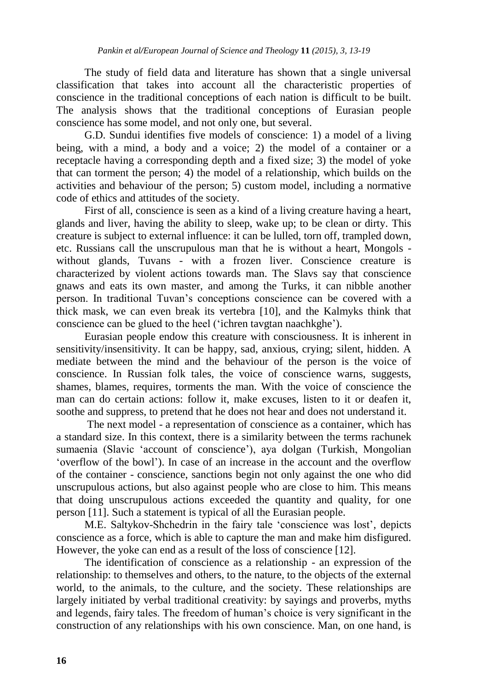The study of field data and literature has shown that a single universal classification that takes into account all the characteristic properties of conscience in the traditional conceptions of each nation is difficult to be built. The analysis shows that the traditional conceptions of Eurasian people conscience has some model, and not only one, but several.

G.D. Sundui identifies five models of conscience: 1) a model of a living being, with a mind, a body and a voice; 2) the model of a container or a receptacle having a corresponding depth and a fixed size; 3) the model of yoke that can torment the person; 4) the model of a relationship, which builds on the activities and behaviour of the person; 5) custom model, including a normative code of ethics and attitudes of the society.

First of all, conscience is seen as a kind of a living creature having a heart, glands and liver, having the ability to sleep, wake up; to be clean or dirty. This creature is subject to external influence: it can be lulled, torn off, trampled down, etc. Russians call the unscrupulous man that he is without a heart, Mongols without glands, Tuvans - with a frozen liver. Conscience creature is characterized by violent actions towards man. The Slavs say that conscience gnaws and eats its own master, and among the Turks, it can nibble another person. In traditional Tuvan"s conceptions conscience can be covered with a thick mask, we can even break its vertebra [10], and the Kalmyks think that conscience can be glued to the heel ("ichren tavgtan naachkghe").

Eurasian people endow this creature with consciousness. It is inherent in sensitivity/insensitivity. It can be happy, sad, anxious, crying; silent, hidden. A mediate between the mind and the behaviour of the person is the voice of conscience. In Russian folk tales, the voice of conscience warns, suggests, shames, blames, requires, torments the man. With the voice of conscience the man can do certain actions: follow it, make excuses, listen to it or deafen it, soothe and suppress, to pretend that he does not hear and does not understand it.

The next model - a representation of conscience as a container, which has a standard size. In this context, there is a similarity between the terms rachunek sumaenia (Slavic 'account of conscience'), aya dolgan (Turkish, Mongolian "overflow of the bowl"). In case of an increase in the account and the overflow of the container - conscience, sanctions begin not only against the one who did unscrupulous actions, but also against people who are close to him. This means that doing unscrupulous actions exceeded the quantity and quality, for one person [11]. Such a statement is typical of all the Eurasian people.

M.E. Saltykov-Shchedrin in the fairy tale "conscience was lost", depicts conscience as a force, which is able to capture the man and make him disfigured. However, the yoke can end as a result of the loss of conscience [12].

The identification of conscience as a relationship - an expression of the relationship: to themselves and others, to the nature, to the objects of the external world, to the animals, to the culture, and the society. These relationships are largely initiated by verbal traditional creativity: by sayings and proverbs, myths and legends, fairy tales. The freedom of human"s choice is very significant in the construction of any relationships with his own conscience. Man, on one hand, is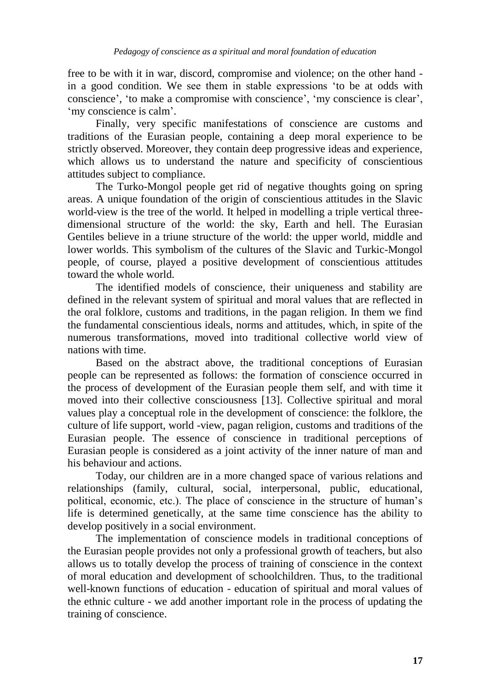free to be with it in war, discord, compromise and violence; on the other hand in a good condition. We see them in stable expressions "to be at odds with conscience", "to make a compromise with conscience", "my conscience is clear", 'my conscience is calm'.

Finally, very specific manifestations of conscience are customs and traditions of the Eurasian people, containing a deep moral experience to be strictly observed. Moreover, they contain deep progressive ideas and experience, which allows us to understand the nature and specificity of conscientious attitudes subject to compliance.

The Turko-Mongol people get rid of negative thoughts going on spring areas. A unique foundation of the origin of conscientious attitudes in the Slavic world-view is the tree of the world. It helped in modelling a triple vertical threedimensional structure of the world: the sky, Earth and hell. The Eurasian Gentiles believe in a triune structure of the world: the upper world, middle and lower worlds. This symbolism of the cultures of the Slavic and Turkic-Mongol people, of course, played a positive development of conscientious attitudes toward the whole world.

The identified models of conscience, their uniqueness and stability are defined in the relevant system of spiritual and moral values that are reflected in the oral folklore, customs and traditions, in the pagan religion. In them we find the fundamental conscientious ideals, norms and attitudes, which, in spite of the numerous transformations, moved into traditional collective world view of nations with time.

Based on the abstract above, the traditional conceptions of Eurasian people can be represented as follows: the formation of conscience occurred in the process of development of the Eurasian people them self, and with time it moved into their collective consciousness [13]. Collective spiritual and moral values play a conceptual role in the development of conscience: the folklore, the culture of life support, world -view, pagan religion, customs and traditions of the Eurasian people. The essence of conscience in traditional perceptions of Eurasian people is considered as a joint activity of the inner nature of man and his behaviour and actions.

Today, our children are in a more changed space of various relations and relationships (family, cultural, social, interpersonal, public, educational, political, economic, etc.). The place of conscience in the structure of human"s life is determined genetically, at the same time conscience has the ability to develop positively in a social environment.

The implementation of conscience models in traditional conceptions of the Eurasian people provides not only a professional growth of teachers, but also allows us to totally develop the process of training of conscience in the context of moral education and development of schoolchildren. Thus, to the traditional well-known functions of education - education of spiritual and moral values of the ethnic culture - we add another important role in the process of updating the training of conscience.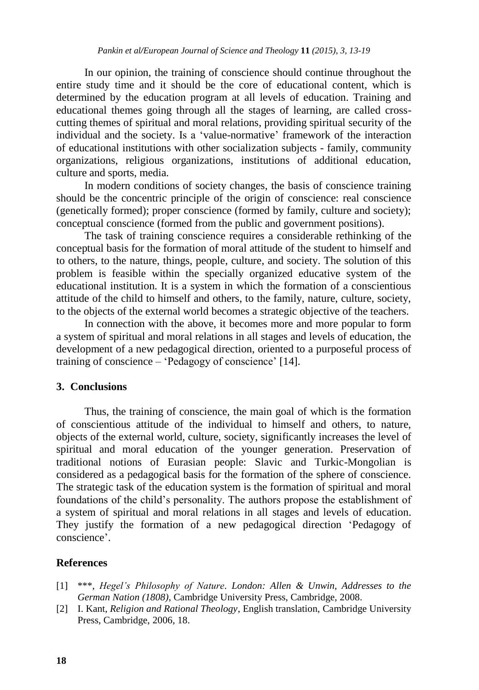In our opinion, the training of conscience should continue throughout the entire study time and it should be the core of educational content, which is determined by the education program at all levels of education. Training and educational themes going through all the stages of learning, are called crosscutting themes of spiritual and moral relations, providing spiritual security of the individual and the society. Is a 'value-normative' framework of the interaction of educational institutions with other socialization subjects - family, community organizations, religious organizations, institutions of additional education, culture and sports, media.

In modern conditions of society changes, the basis of conscience training should be the concentric principle of the origin of conscience: real conscience (genetically formed); proper conscience (formed by family, culture and society); conceptual conscience (formed from the public and government positions).

The task of training conscience requires a considerable rethinking of the conceptual basis for the formation of moral attitude of the student to himself and to others, to the nature, things, people, culture, and society. The solution of this problem is feasible within the specially organized educative system of the educational institution. It is a system in which the formation of a conscientious attitude of the child to himself and others, to the family, nature, culture, society, to the objects of the external world becomes a strategic objective of the teachers.

In connection with the above, it becomes more and more popular to form a system of spiritual and moral relations in all stages and levels of education, the development of a new pedagogical direction, oriented to a purposeful process of training of conscience – "Pedagogy of conscience" [14].

### **3. Conclusions**

Thus, the training of conscience, the main goal of which is the formation of conscientious attitude of the individual to himself and others, to nature, objects of the external world, culture, society, significantly increases the level of spiritual and moral education of the younger generation. Preservation of traditional notions of Eurasian people: Slavic and Turkic-Mongolian is considered as a pedagogical basis for the formation of the sphere of conscience. The strategic task of the education system is the formation of spiritual and moral foundations of the child"s personality. The authors propose the establishment of a system of spiritual and moral relations in all stages and levels of education. They justify the formation of a new pedagogical direction "Pedagogy of conscience".

#### **References**

- [1] \*\*\*, *[Hegel's Philosophy of Nature.](http://books.google.ru/books?id=2UYIAQAAIAAJ) London: Allen & Unwin, Addresses to the German Nation (1808)*, Cambridge University Press, Cambridge, 2008.
- [2] I. Kant, *Religion and Rational Theology*, English translation, Cambridge University Press, Cambridge, 2006, 18.